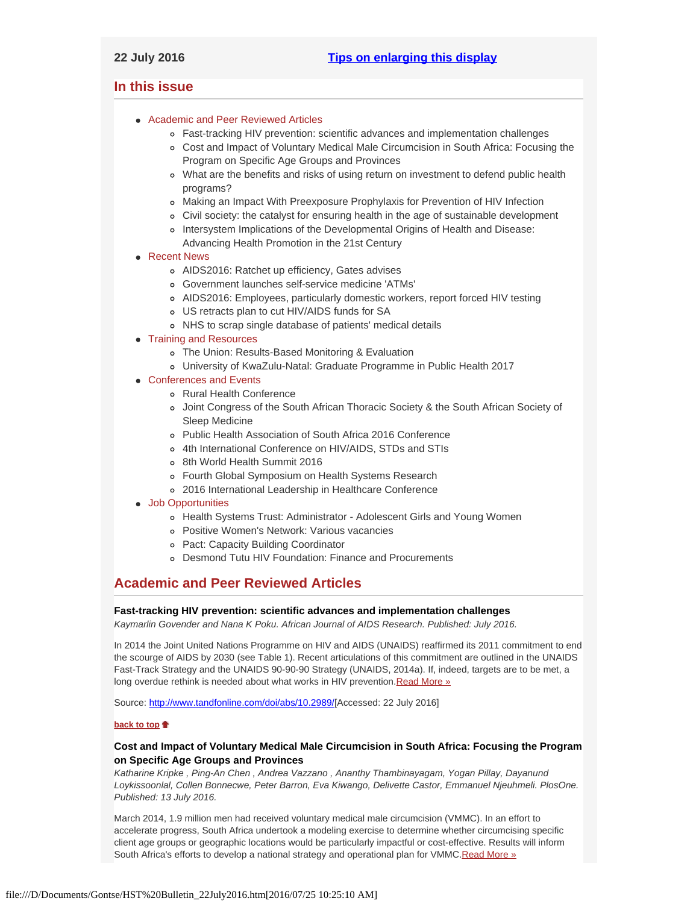# <span id="page-0-4"></span><span id="page-0-3"></span>**In this issue**

- [Academic and Peer Reviewed Articles](#page-0-0)
	- [Fast-tracking HIV prevention: scientific advances and implementation challenges](#page-0-1)
	- [Cost and Impact of Voluntary Medical Male Circumcision in South Africa: Focusing the](#page-0-2) [Program on Specific Age Groups and Provinces](#page-0-2)
	- [What are the benefits and risks of using return on investment to defend public health](#page-1-0) [programs?](#page-1-0)
	- [Making an Impact With Preexposure Prophylaxis for Prevention of HIV Infection](#page-1-1)
	- [Civil society: the catalyst for ensuring health in the age of sustainable development](#page-1-2)
	- o [Intersystem Implications of the Developmental Origins of Health and Disease:](#page-1-3) [Advancing Health Promotion in the 21st Century](#page-1-3)
- [Recent News](#page-1-4)
	- [AIDS2016: Ratchet up efficiency, Gates advises](#page-1-5)
	- [Government launches self-service medicine 'ATMs'](#page-1-6)
	- [AIDS2016: Employees, particularly domestic workers, report forced HIV testing](#page-2-0)
	- [US retracts plan to cut HIV/AIDS funds for SA](#page-2-1)
	- [NHS to scrap single database of patients' medical details](#page-2-2)
- [Training and Resources](#page-3-0)
	- [The Union: Results-Based Monitoring & Evaluation](#page-2-3)
	- [University of KwaZulu-Natal: Graduate Programme in Public Health 2017](#page-2-4)
- [Conferences and Events](#page-2-5)
	- [Rural Health Conference](#page-2-6)
	- [Joint Congress of the South African Thoracic Society & the South African Society of](#page-2-7) [Sleep Medicine](#page-2-7)
	- [Public Health Association of South Africa 2016 Conference](#page-3-1)
	- [4th International Conference on HIV/AIDS, STDs and STIs](#page-3-2)
	- [8th World Health Summit 2016](#page-3-3)
	- [Fourth Global Symposium on Health Systems Research](#page-3-4)
	- [2016 International Leadership in Healthcare Conference](#page-3-5)
- [Job Opportunities](#page-0-3)
	- [Health Systems Trust: Administrator Adolescent Girls and Young Women](#page-3-6)
	- [Positive Women's Network: Various vacancies](#page-3-6)
	- [Pact: Capacity Building Coordinator](#page-3-7)
	- [Desmond Tutu HIV Foundation: Finance and Procurements](#page-3-8)

# <span id="page-0-0"></span>**Academic and Peer Reviewed Articles**

## <span id="page-0-1"></span>**Fast-tracking HIV prevention: scientific advances and implementation challenges**

*Kaymarlin Govender and Nana K Poku. African Journal of AIDS Research. Published: July 2016.*

In 2014 the Joint United Nations Programme on HIV and AIDS (UNAIDS) reaffirmed its 2011 commitment to end the scourge of AIDS by 2030 (see Table 1). Recent articulations of this commitment are outlined in the UNAIDS Fast-Track Strategy and the UNAIDS 90-90-90 Strategy (UNAIDS, 2014a). If, indeed, targets are to be met, a long overdue rethink is needed about what works in HIV prevention. Read More »

Source: [http://www.tandfonline.com/doi/abs/10.2989/](http://www.tandfonline.com/doi/abs/10.2989/16085906.2016.1208944#aHR0cDovL3d3dy50YW5kZm9ubGluZS5jb20vZG9pL3BkZi8xMC4yOTg5LzE2MDg1OTA2LjIwMTYuMTIwODk0NEBAQDA=)[Accessed: 22 July 2016]

## **[back to top](#page-0-4)**

# <span id="page-0-2"></span>**Cost and Impact of Voluntary Medical Male Circumcision in South Africa: Focusing the Program on Specific Age Groups and Provinces**

*Katharine Kripke , Ping-An Chen , Andrea Vazzano , Ananthy Thambinayagam, Yogan Pillay, Dayanund Loykissoonlal, Collen Bonnecwe, Peter Barron, Eva Kiwango, Delivette Castor, Emmanuel Njeuhmeli. PlosOne. Published: 13 July 2016.*

March 2014, 1.9 million men had received voluntary medical male circumcision (VMMC). In an effort to accelerate progress, South Africa undertook a modeling exercise to determine whether circumcising specific client age groups or geographic locations would be particularly impactful or cost-effective. Results will inform South Africa's efforts to develop a national strategy and operational plan for VMMC.[Read More »](http://journals.plos.org/plosone/article?id=10.1371%2Fjournal.pone.0157071)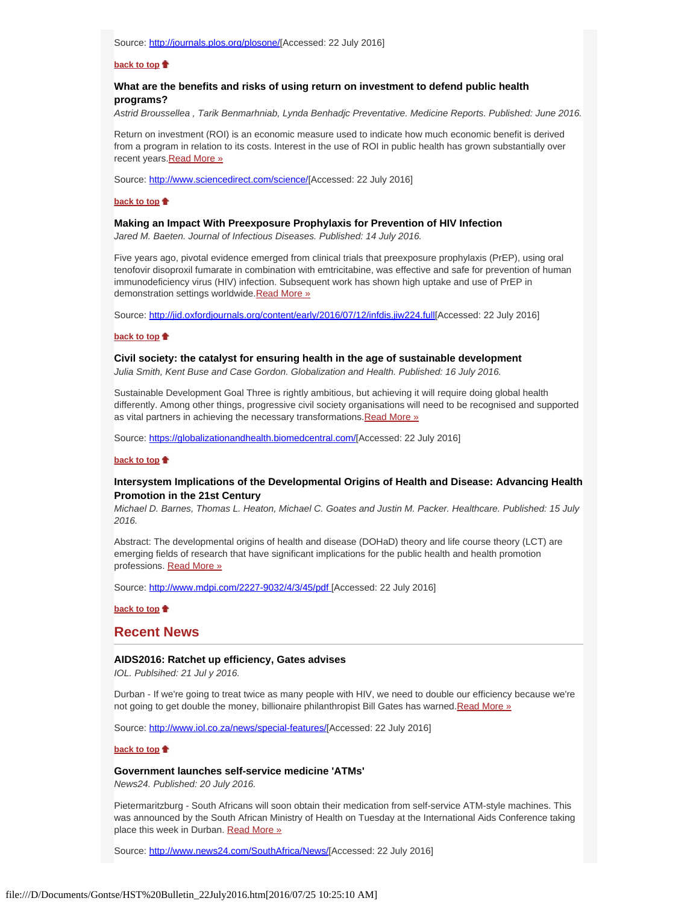Source: [http://journals.plos.org/plosone/](http://journals.plos.org/plosone/article?id=10.1371%2Fjournal.pone.0157071)[Accessed: 22 July 2016]

### **[back to top](#page-0-4)**

# <span id="page-1-0"></span>**What are the benefits and risks of using return on investment to defend public health programs?**

*Astrid Broussellea , Tarik Benmarhniab, Lynda Benhadjc Preventative. Medicine Reports. Published: June 2016.*

Return on investment (ROI) is an economic measure used to indicate how much economic benefit is derived from a program in relation to its costs. Interest in the use of ROI in public health has grown substantially over recent years. Read More »

Source: [http://www.sciencedirect.com/science/](http://www.sciencedirect.com/science/article/pii/S2211335516000036)[Accessed: 22 July 2016]

### **[back to top](#page-0-4)**

#### **Making an Impact With Preexposure Prophylaxis for Prevention of HIV Infection**

<span id="page-1-1"></span>*Jared M. Baeten. Journal of Infectious Diseases. Published: 14 July 2016.*

Five years ago, pivotal evidence emerged from clinical trials that preexposure prophylaxis (PrEP), using oral tenofovir disoproxil fumarate in combination with emtricitabine, was effective and safe for prevention of human immunodeficiency virus (HIV) infection. Subsequent work has shown high uptake and use of PrEP in demonstration settings worldwide[.Read More »](http://jid.oxfordjournals.org/content/early/2016/07/12/infdis.jiw224.full)

Source:<http://jid.oxfordjournals.org/content/early/2016/07/12/infdis.jiw224.full>[Accessed: 22 July 2016]

### **[back to top](#page-0-4)**

# <span id="page-1-2"></span>**Civil society: the catalyst for ensuring health in the age of sustainable development**

*Julia Smith, Kent Buse and Case Gordon. Globalization and Health. Published: 16 July 2016.*

Sustainable Development Goal Three is rightly ambitious, but achieving it will require doing global health differently. Among other things, progressive civil society organisations will need to be recognised and supported as vital partners in achieving the necessary transformations. Read More »

Source: [https://globalizationandhealth.biomedcentral.com/](https://globalizationandhealth.biomedcentral.com/articles/10.1186/s12992-016-0178-4)[Accessed: 22 July 2016]

#### **[back to top](#page-0-4)**

# <span id="page-1-3"></span>**Intersystem Implications of the Developmental Origins of Health and Disease: Advancing Health Promotion in the 21st Century**

*Michael D. Barnes, Thomas L. Heaton, Michael C. Goates and Justin M. Packer. Healthcare. Published: 15 July 2016.*

Abstract: The developmental origins of health and disease (DOHaD) theory and life course theory (LCT) are emerging fields of research that have significant implications for the public health and health promotion professions. [Read More »](http://www.mdpi.com/2227-9032/4/3/45/pdf)

Source:<http://www.mdpi.com/2227-9032/4/3/45/pdf>[Accessed: 22 July 2016]

**[back to top](#page-0-4)**

## <span id="page-1-4"></span>**Recent News**

## <span id="page-1-5"></span>**AIDS2016: Ratchet up efficiency, Gates advises**

*IOL. Publsihed: 21 Jul y 2016.*

Durban - If we're going to treat twice as many people with HIV, we need to double our efficiency because we're not going to get double the money, billionaire philanthropist Bill Gates has warned[.Read More »](http://www.hst.org.za/news/aids2016-ratchet-efficiency-gates-advises-special-features)

Source: [http://www.iol.co.za/news/special-features/](http://www.iol.co.za/news/special-features/aids2016-ratchet-up-efficiency-gates-advises-2047657)[Accessed: 22 July 2016]

#### **[back to top](#page-0-4)**

# <span id="page-1-6"></span>**Government launches self-service medicine 'ATMs'**

*News24. Published: 20 July 2016.*

Pietermaritzburg - South Africans will soon obtain their medication from self-service ATM-style machines. This was announced by the South African Ministry of Health on Tuesday at the International Aids Conference taking place this week in Durban. [Read More »](http://www.hst.org.za/news/government-launches-self-service-medicine-atms)

Source: [http://www.news24.com/SouthAfrica/News/](http://www.news24.com/SouthAfrica/News/government-launches-self-service-medicine-atms-20160719)[Accessed: 22 July 2016]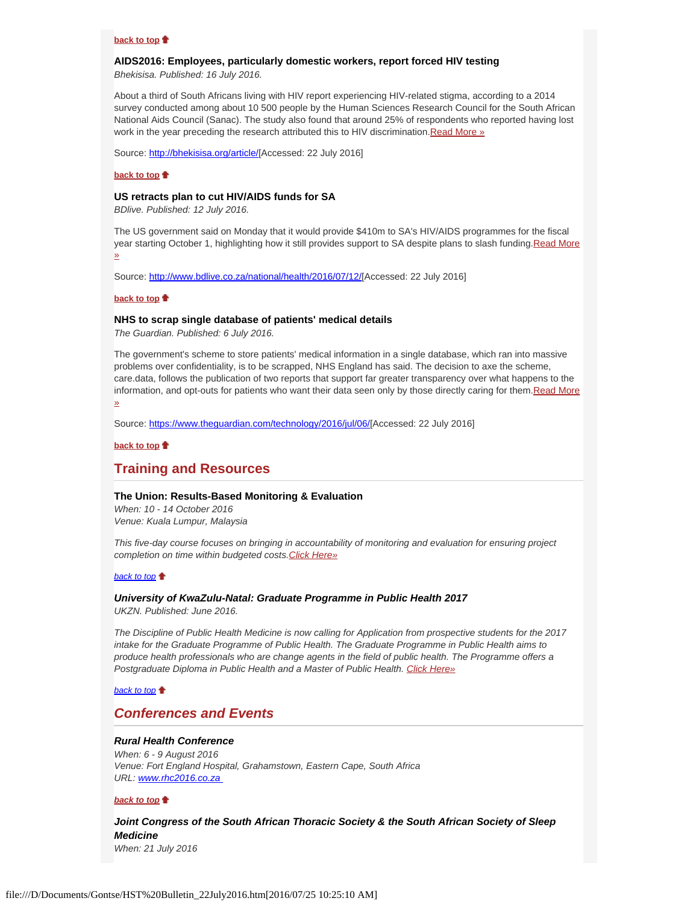### **[back to top](#page-0-4)**

## <span id="page-2-0"></span>**AIDS2016: Employees, particularly domestic workers, report forced HIV testing**

*Bhekisisa. Published: 16 July 2016.*

About a third of South Africans living with HIV report experiencing HIV-related stigma, according to a 2014 survey conducted among about 10 500 people by the Human Sciences Research Council for the South African National Aids Council (Sanac). The study also found that around 25% of respondents who reported having lost work in the year preceding the research attributed this to HIV discrimination. [Read More »](http://www.hst.org.za/news/aids2016-employees-particularly-domestic-workers-report-forced-hiv-testing)

Source: [http://bhekisisa.org/article/](http://bhekisisa.org/article/2016-07-15-employees-particularly-domestic-workers-still-report-being-forced-to-test-by-hiv)[Accessed: 22 July 2016]

#### **[back to top](#page-0-4)**

#### <span id="page-2-1"></span>**US retracts plan to cut HIV/AIDS funds for SA**

*BDlive. Published: 12 July 2016.*

The US government said on Monday that it would provide \$410m to SA's HIV/AIDS programmes for the fiscal year starting October 1, highlighting how it still provides support to SA despite plans to slash funding. Read More [»](http://www.hst.org.za/news/us-retracts-plan-cut-hivaids-funds-sa)

Source: [http://www.bdlive.co.za/national/health/2016/07/12/](http://www.bdlive.co.za/national/health/2016/07/12/us-retracts-plan-to-cut-hivaids-funds-for-sa)[Accessed: 22 July 2016]

### **[back to top](#page-0-4)**

## <span id="page-2-2"></span>**NHS to scrap single database of patients' medical details**

*The Guardian. Published: 6 July 2016.*

The government's scheme to store patients' medical information in a single database, which ran into massive problems over confidentiality, is to be scrapped, NHS England has said. The decision to axe the scheme, care.data, follows the publication of two reports that support far greater transparency over what happens to the information, and opt-outs for patients who want their data seen only by those directly caring for them. Read More [»](http://www.hst.org.za/news/nhs-scrap-single-database-patients-medical-details-caredata-scheme-close-after-fiona-caldicott-)

Source: [https://www.theguardian.com/technology/2016/jul/06/](https://www.theguardian.com/technology/2016/jul/06/nhs-to-scrap-single-database-of-patients-medical-details)[Accessed: 22 July 2016]

### **[back to top](#page-0-4)**

# **Training and Resources**

#### <span id="page-2-3"></span>**The Union: Results-Based Monitoring & Evaluation**

*When: 10 - 14 October 2016 Venue: Kuala Lumpur, Malaysia*

*This five-day course focuses on bringing in accountability of monitoring and evaluation for ensuring project completion on time within budgeted costs[.Click Here»](http://www.union-imdp.org/courses/monitoring-and-evaluation)*

### *[back to top](#page-0-4)*

### <span id="page-2-4"></span>*University of KwaZulu-Natal: Graduate Programme in Public Health 2017*

*UKZN. Published: June 2016.*

*The Discipline of Public Health Medicine is now calling for Application from prospective students for the 2017 intake for the Graduate Programme of Public Health. The Graduate Programme in Public Health aims to produce health professionals who are change agents in the field of public health. The Programme offers a Postgraduate Diploma in Public Health and a Master of Public Health. [Click Here»](http://publichealth.ukzn.ac.za/PostgraduateProgrammes.aspx)*

### *[back to top](#page-0-4)*

# <span id="page-2-5"></span>*Conferences and Events*

## <span id="page-2-6"></span>*Rural Health Conference*

*When: 6 - 9 August 2016 Venue: Fort England Hospital, Grahamstown, Eastern Cape, South Africa URL: [www.rhc2016.co.za](http://rhc2016.co.za/)* 

#### *[back to top](#page-0-4)*

<span id="page-2-7"></span>*Joint Congress of the South African Thoracic Society & the South African Society of Sleep Medicine*

*When: 21 July 2016*